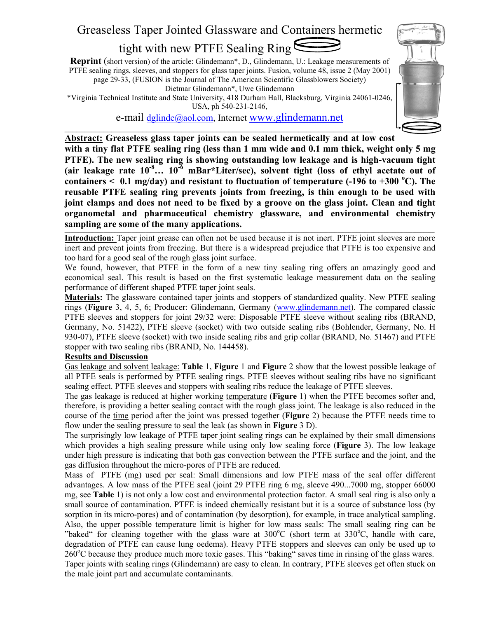# Greaseless Taper Jointed Glassware and Containers hermetic

## tight with new PTFE Sealing Ring

**Reprint** (short version) of the article: Glindemann\*, D., Glindemann, U.: Leakage measurements of PTFE sealing rings, sleeves, and stoppers for glass taper joints. Fusion, volume 48, issue 2 (May 2001) page 29-33, (FUSION is the Journal of The American Scientific Glassblowers Society) Dietmar Glindemann\*, Uwe Glindemann

\*Virginia Technical Institute and State University, 418 Durham Hall, Blacksburg, Virginia 24061-0246, USA, ph 540-231-2146,

e-mail dglinde@aol.com, Internet www.glindemann.net

**\_\_\_\_\_\_\_\_\_\_\_\_\_\_\_\_\_\_\_\_\_\_\_\_\_\_\_\_\_\_\_\_\_\_\_\_\_\_\_\_\_\_\_\_\_\_\_\_\_\_\_\_\_\_\_\_\_\_\_\_\_\_\_\_\_\_\_\_\_\_\_\_\_\_\_\_\_\_\_** 



**Abstract: Greaseless glass taper joints can be sealed hermetically and at low cost with a tiny flat PTFE sealing ring (less than 1 mm wide and 0.1 mm thick, weight only 5 mg PTFE). The new sealing ring is showing outstanding low leakage and is high-vacuum tight (air leakage rate 10-8… 10-6 mBar\*Liter/sec), solvent tight (loss of ethyl acetate out of**  containers  $\leq 0.1$  mg/day) and resistant to fluctuation of temperature (-196 to +300 °C). The **reusable PTFE sealing ring prevents joints from freezing, is thin enough to be used with joint clamps and does not need to be fixed by a groove on the glass joint. Clean and tight organometal and pharmaceutical chemistry glassware, and environmental chemistry sampling are some of the many applications.** 

**Introduction:** Taper joint grease can often not be used because it is not inert. PTFE joint sleeves are more inert and prevent joints from freezing. But there is a widespread prejudice that PTFE is too expensive and too hard for a good seal of the rough glass joint surface.

We found, however, that PTFE in the form of a new tiny sealing ring offers an amazingly good and economical seal. This result is based on the first systematic leakage measurement data on the sealing performance of different shaped PTFE taper joint seals.

**Materials:** The glassware contained taper joints and stoppers of standardized quality. New PTFE sealing rings (**Figure** 3, 4, 5, 6; Producer: Glindemann, Germany (www.glindemann.net). The compared classic PTFE sleeves and stoppers for joint 29/32 were: Disposable PTFE sleeve without sealing ribs (BRAND, Germany, No. 51422), PTFE sleeve (socket) with two outside sealing ribs (Bohlender, Germany, No. H 930-07), PTFE sleeve (socket) with two inside sealing ribs and grip collar (BRAND, No. 51467) and PTFE stopper with two sealing ribs (BRAND, No. 144458).

#### **Results and Discussion**

Gas leakage and solvent leakage: **Table** 1, **Figure** 1 and **Figure** 2 show that the lowest possible leakage of all PTFE seals is performed by PTFE sealing rings. PTFE sleeves without sealing ribs have no significant sealing effect. PTFE sleeves and stoppers with sealing ribs reduce the leakage of PTFE sleeves.

The gas leakage is reduced at higher working temperature (**Figure** 1) when the PTFE becomes softer and, therefore, is providing a better sealing contact with the rough glass joint. The leakage is also reduced in the course of the time period after the joint was pressed together (**Figure** 2) because the PTFE needs time to flow under the sealing pressure to seal the leak (as shown in **Figure** 3 D).

The surprisingly low leakage of PTFE taper joint sealing rings can be explained by their small dimensions which provides a high sealing pressure while using only low sealing force (**Figure** 3). The low leakage under high pressure is indicating that both gas convection between the PTFE surface and the joint, and the gas diffusion throughout the micro-pores of PTFE are reduced.

Mass of PTFE (mg) used per seal: Small dimensions and low PTFE mass of the seal offer different advantages. A low mass of the PTFE seal (joint 29 PTFE ring 6 mg, sleeve 490...7000 mg, stopper 66000 mg, see **Table** 1) is not only a low cost and environmental protection factor. A small seal ring is also only a small source of contamination. PTFE is indeed chemically resistant but it is a source of substance loss (by sorption in its micro-pores) and of contamination (by desorption), for example, in trace analytical sampling. Also, the upper possible temperature limit is higher for low mass seals: The small sealing ring can be "baked" for cleaning together with the glass ware at 300°C (short term at 330°C, handle with care, degradation of PTFE can cause lung oedema). Heavy PTFE stoppers and sleeves can only be used up to  $260^{\circ}$ C because they produce much more toxic gases. This "baking" saves time in rinsing of the glass wares. Taper joints with sealing rings (Glindemann) are easy to clean. In contrary, PTFE sleeves get often stuck on the male joint part and accumulate contaminants.